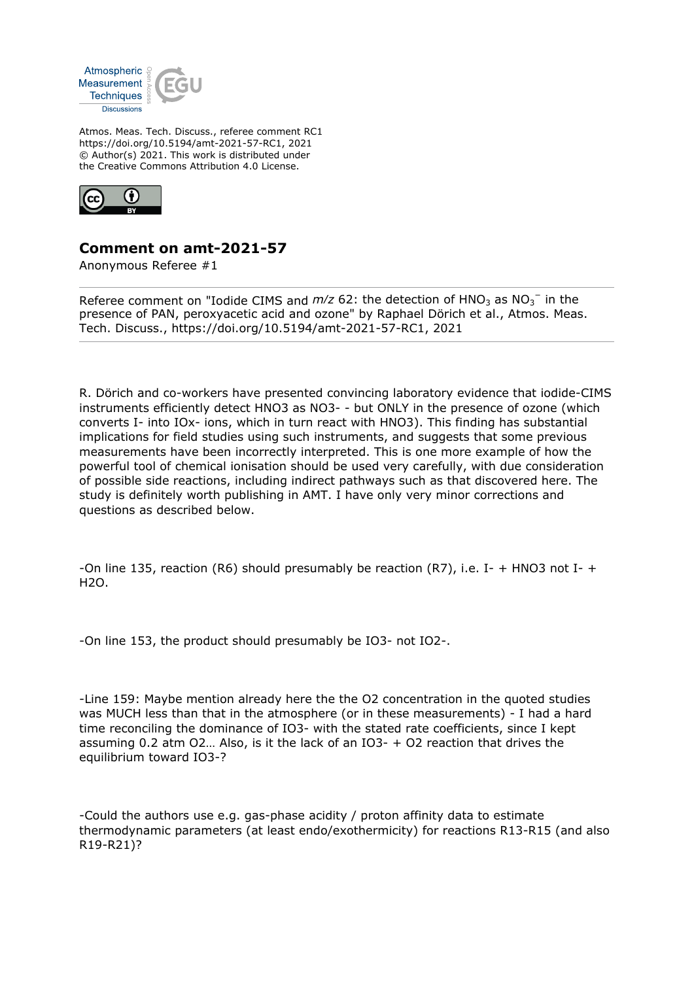

Atmos. Meas. Tech. Discuss., referee comment RC1 https://doi.org/10.5194/amt-2021-57-RC1, 2021 © Author(s) 2021. This work is distributed under the Creative Commons Attribution 4.0 License.



## **Comment on amt-2021-57**

Anonymous Referee #1

Referee comment on "Iodide CIMS and  $m/z$  62: the detection of  $HNO<sub>3</sub>$  as  $NO<sub>3</sub><sup>-</sup>$  in the presence of PAN, peroxyacetic acid and ozone" by Raphael Dörich et al., Atmos. Meas. Tech. Discuss., https://doi.org/10.5194/amt-2021-57-RC1, 2021

R. Dörich and co-workers have presented convincing laboratory evidence that iodide-CIMS instruments efficiently detect HNO3 as NO3- - but ONLY in the presence of ozone (which converts I- into IOx- ions, which in turn react with HNO3). This finding has substantial implications for field studies using such instruments, and suggests that some previous measurements have been incorrectly interpreted. This is one more example of how the powerful tool of chemical ionisation should be used very carefully, with due consideration of possible side reactions, including indirect pathways such as that discovered here. The study is definitely worth publishing in AMT. I have only very minor corrections and questions as described below.

-On line 135, reaction (R6) should presumably be reaction (R7), i.e. I- + HNO3 not I- +  $H2O.$ 

-On line 153, the product should presumably be IO3- not IO2-.

-Line 159: Maybe mention already here the the O2 concentration in the quoted studies was MUCH less than that in the atmosphere (or in these measurements) - I had a hard time reconciling the dominance of IO3- with the stated rate coefficients, since I kept assuming 0.2 atm O2… Also, is it the lack of an IO3- + O2 reaction that drives the equilibrium toward IO3-?

-Could the authors use e.g. gas-phase acidity / proton affinity data to estimate thermodynamic parameters (at least endo/exothermicity) for reactions R13-R15 (and also R19-R21)?